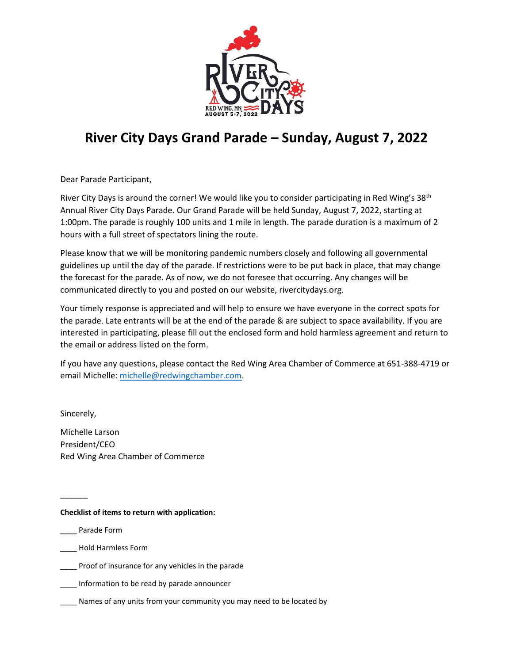

## **River City Days Grand Parade – Sunday, August 7, 2022**

Dear Parade Participant,

River City Days is around the corner! We would like you to consider participating in Red Wing's 38<sup>th</sup> Annual River City Days Parade. Our Grand Parade will be held Sunday, August 7, 2022, starting at 1:00pm. The parade is roughly 100 units and 1 mile in length. The parade duration is a maximum of 2 hours with a full street of spectators lining the route.

Please know that we will be monitoring pandemic numbers closely and following all governmental guidelines up until the day of the parade. If restrictions were to be put back in place, that may change the forecast for the parade. As of now, we do not foresee that occurring. Any changes will be communicated directly to you and posted on our website, rivercitydays.org.

Your timely response is appreciated and will help to ensure we have everyone in the correct spots for the parade. Late entrants will be at the end of the parade & are subject to space availability. If you are interested in participating, please fill out the enclosed form and hold harmless agreement and return to the email or address listed on the form.

If you have any questions, please contact the Red Wing Area Chamber of Commerce at 651-388-4719 or email Michelle: [michelle@redwingchamber.com.](mailto:michelle@redwingchamber.com)

Sincerely,

 $\overline{\phantom{a}}$ 

Michelle Larson President/CEO Red Wing Area Chamber of Commerce

## **Checklist of items to return with application:**

\_\_\_\_ Parade Form

- \_\_\_\_ Hold Harmless Form
- Proof of insurance for any vehicles in the parade

\_\_\_\_ Information to be read by parade announcer

\_\_\_\_ Names of any units from your community you may need to be located by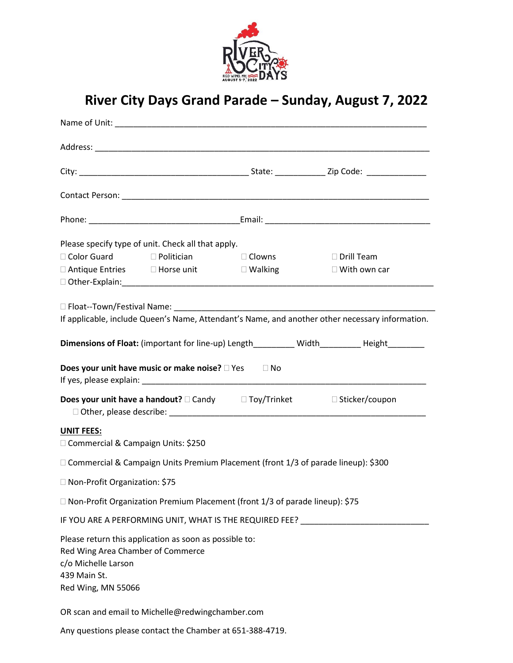

## **River City Days Grand Parade – Sunday, August 7, 2022**

|                                                                                                | Please specify type of unit. Check all that apply.        |                                                                                     |                                                                                                                                          |
|------------------------------------------------------------------------------------------------|-----------------------------------------------------------|-------------------------------------------------------------------------------------|------------------------------------------------------------------------------------------------------------------------------------------|
|                                                                                                | □ Color Guard Delitician                                  |                                                                                     | $\Box$ Clowns $\Box$ Drill Team                                                                                                          |
|                                                                                                | □ Antique Entries □ Horse unit □ Walking                  |                                                                                     | $\square$ With own car<br>Other-Explain: The Contract of the Contract of the Contract of the Contract of the Contract of the Contract of |
|                                                                                                |                                                           |                                                                                     |                                                                                                                                          |
|                                                                                                |                                                           |                                                                                     | If applicable, include Queen's Name, Attendant's Name, and another other necessary information.                                          |
|                                                                                                |                                                           |                                                                                     | Dimensions of Float: (important for line-up) Length_________ Width_________ Height________                                               |
|                                                                                                | Does your unit have music or make noise? □ Yes □ No       |                                                                                     |                                                                                                                                          |
|                                                                                                |                                                           |                                                                                     | <b>Does your unit have a handout?</b> $\square$ Candy $\square$ Toy/Trinket $\square$ Sticker/coupon                                     |
| <b>UNIT FEES:</b><br>□ Commercial & Campaign Units: \$250                                      |                                                           |                                                                                     |                                                                                                                                          |
|                                                                                                |                                                           | □ Commercial & Campaign Units Premium Placement (front 1/3 of parade lineup): \$300 |                                                                                                                                          |
| □ Non-Profit Organization: \$75                                                                |                                                           |                                                                                     |                                                                                                                                          |
|                                                                                                |                                                           | □ Non-Profit Organization Premium Placement (front 1/3 of parade lineup): \$75      |                                                                                                                                          |
|                                                                                                |                                                           | IF YOU ARE A PERFORMING UNIT, WHAT IS THE REQUIRED FEE?                             |                                                                                                                                          |
| Red Wing Area Chamber of Commerce<br>c/o Michelle Larson<br>439 Main St.<br>Red Wing, MN 55066 | Please return this application as soon as possible to:    |                                                                                     |                                                                                                                                          |
|                                                                                                | OR scan and email to Michelle@redwingchamber.com          |                                                                                     |                                                                                                                                          |
|                                                                                                | Any questions please contact the Chamber at 651-388-4719. |                                                                                     |                                                                                                                                          |